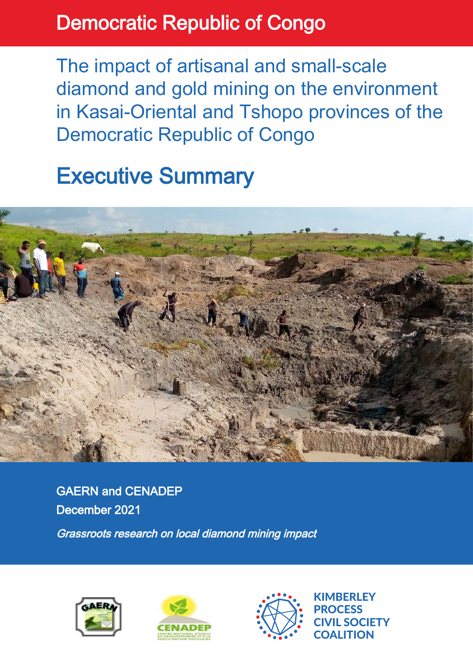## Democratic Republic of Congo

The impact of artisanal and small-scale diamond and gold mining on the environment in Kasai-Oriental and Tshopo provinces of the Democratic Republic of Congo

# Executive Summary



GAERN and CENADEP December 2021

Grassroots research on local diamond mining impact







**ABERLEY** PROCESS **IL SOCIETY COALITION**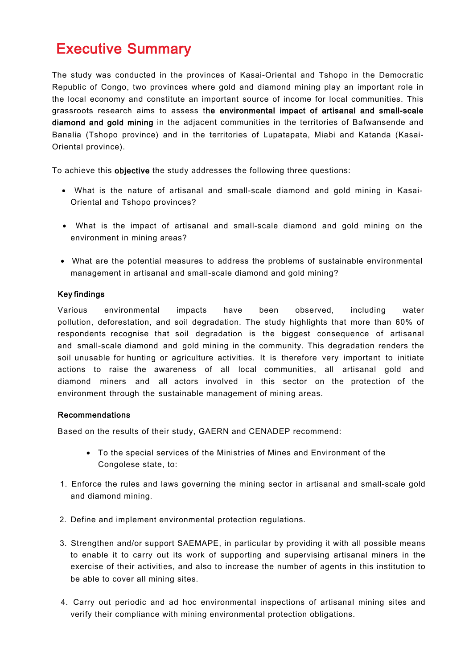### **Executive Summary**

The study was conducted in the provinces of Kasai-Oriental and Tshopo in the Democratic Republic of Congo, two provinces where gold and diamond mining play an important role in the local economy and constitute an important source of income for local communities. This grassroots research aims to assess the environmental impact of artisanal and small-scale diamond and gold mining in the adjacent communities in the territories of Bafwansende and Banalia (Tshopo province) and in the territories of Lupatapata, Miabi and Katanda (Kasai-Oriental province).

To achieve this objective the study addresses the following three questions:

- What is the nature of artisanal and small-scale diamond and gold mining in Kasai-Oriental and Tshopo provinces?
- What is the impact of artisanal and small-scale diamond and gold mining on the environment in mining areas?
- What are the potential measures to address the problems of sustainable environmental management in artisanal and small-scale diamond and gold mining?

### Key findings

Various environmental impacts have been observed, including water pollution, deforestation, and soil degradation. The study highlights that more than 60% of respondents recognise that soil degradation is the biggest consequence of artisanal and small-scale diamond and gold mining in the community. This degradation renders the soil unusable for hunting or agriculture activities. It is therefore very important to initiate actions to raise the awareness of all local communities, all artisanal gold and diamond miners and all actors involved in this sector on the protection of the environment through the sustainable management of mining areas.

#### Recommendations

Based on the results of their study, GAERN and CENADEP recommend:

- To the special services of the Ministries of Mines and Environment of the Congolese state, to:
- 1. Enforce the rules and laws governing the mining sector in artisanal and small-scale gold and diamond mining.
- 2. Define and implement environmental protection regulations.
- 3. Strengthen and/or support SAEMAPE, in particular by providing it with all possible means to enable it to carry out its work of supporting and supervising artisanal miners in the exercise of their activities, and also to increase the number of agents in this institution to be able to cover all mining sites.
- 4. Carry out periodic and ad hoc environmental inspections of artisanal mining sites and verify their compliance with mining environmental protection obligations.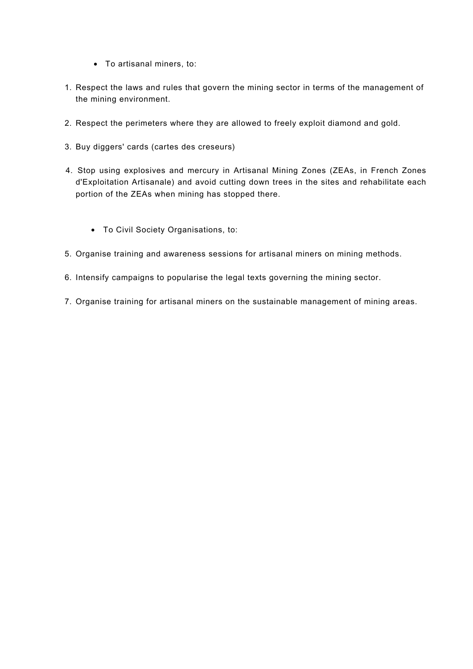- To artisanal miners, to:
- 1. Respect the laws and rules that govern the mining sector in terms of the management of the mining environment.
- 2. Respect the perimeters where they are allowed to freely exploit diamond and gold.
- 3. Buy diggers' cards (cartes des creseurs)
- 4. Stop using explosives and mercury in Artisanal Mining Zones (ZEAs, in French Zones d'Exploitation Artisanale) and avoid cutting down trees in the sites and rehabilitate each portion of the ZEAs when mining has stopped there.
	- To Civil Society Organisations, to:
- 5. Organise training and awareness sessions for artisanal miners on mining methods.
- 6. Intensify campaigns to popularise the legal texts governing the mining sector.
- 7. Organise training for artisanal miners on the sustainable management of mining areas.